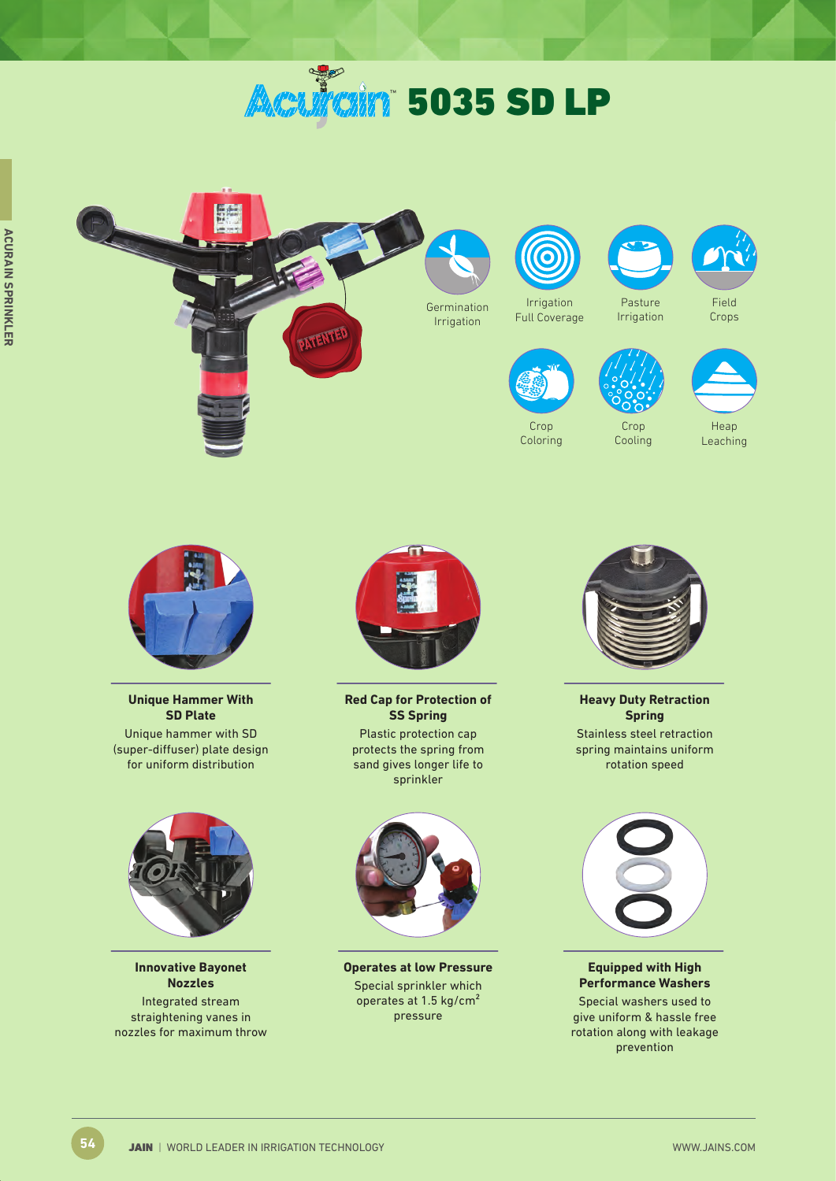# **Aculain** 5035 SD LP